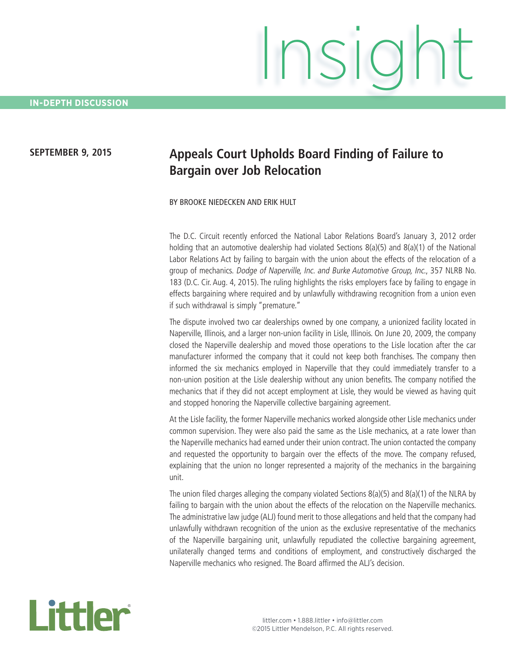## **SEPTEMBER 9, 2015**

## **Appeals Court Upholds Board Finding of Failure to Bargain over Job Relocation**

BY BROOKE NIEDECKEN AND ERIK HULT

The D.C. Circuit recently enforced the National Labor Relations Board's January 3, 2012 order holding that an automotive dealership had violated Sections 8(a)(5) and 8(a)(1) of the National Labor Relations Act by failing to bargain with the union about the effects of the relocation of a group of mechanics. Dodge of Naperville, Inc. and Burke Automotive Group, Inc., 357 NLRB No. 183 (D.C. Cir. Aug. 4, 2015). The ruling highlights the risks employers face by failing to engage in effects bargaining where required and by unlawfully withdrawing recognition from a union even if such withdrawal is simply "premature."

The dispute involved two car dealerships owned by one company, a unionized facility located in Naperville, Illinois, and a larger non-union facility in Lisle, Illinois. On June 20, 2009, the company closed the Naperville dealership and moved those operations to the Lisle location after the car manufacturer informed the company that it could not keep both franchises. The company then informed the six mechanics employed in Naperville that they could immediately transfer to a non-union position at the Lisle dealership without any union benefits. The company notified the mechanics that if they did not accept employment at Lisle, they would be viewed as having quit and stopped honoring the Naperville collective bargaining agreement.

At the Lisle facility, the former Naperville mechanics worked alongside other Lisle mechanics under common supervision. They were also paid the same as the Lisle mechanics, at a rate lower than the Naperville mechanics had earned under their union contract. The union contacted the company and requested the opportunity to bargain over the effects of the move. The company refused, explaining that the union no longer represented a majority of the mechanics in the bargaining unit.

The union filed charges alleging the company violated Sections 8(a)(5) and 8(a)(1) of the NLRA by failing to bargain with the union about the effects of the relocation on the Naperville mechanics. The administrative law judge (ALJ) found merit to those allegations and held that the company had unlawfully withdrawn recognition of the union as the exclusive representative of the mechanics of the Naperville bargaining unit, unlawfully repudiated the collective bargaining agreement, unilaterally changed terms and conditions of employment, and constructively discharged the Naperville mechanics who resigned. The Board affirmed the ALJ's decision.